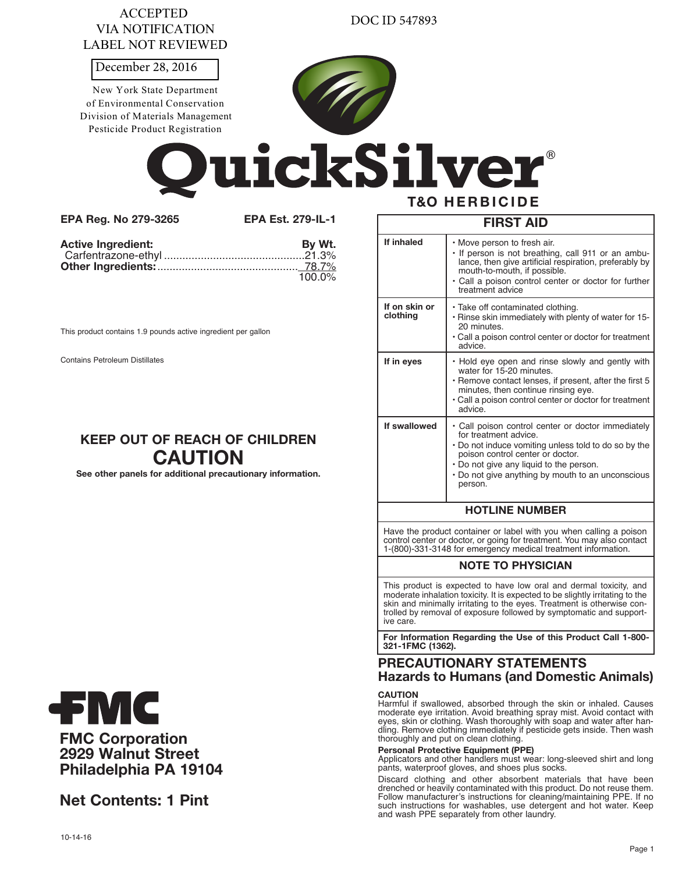| <b>ACCEPTED</b>    |
|--------------------|
| VIA NOTIFICATION   |
| LABEL NOT REVIEWED |

DOC ID 547893

December 28, 2016

New York State Department of Environmental Conservation Division of Materials Management Pesticide Product Registration



uickSilver **T&O HERBICIDE** 

**EPA Reg. No 279-3265 EPA Est. 279-IL-1**

| <b>Active Ingredient:</b> | By Wt.    |
|---------------------------|-----------|
|                           |           |
|                           |           |
|                           | $100.0\%$ |

This product contains 1.9 pounds active ingredient per gallon

Contains Petroleum Distillates

# **KEEP OUT OF REACH OF CHILDREN CAUTION**

**See other panels for additional precautionary information.**

|                           | <b>FIRST AID</b>                                                                                                                                                                                                                                                                                     |  |  |  |
|---------------------------|------------------------------------------------------------------------------------------------------------------------------------------------------------------------------------------------------------------------------------------------------------------------------------------------------|--|--|--|
| If inhaled                | • Move person to fresh air.<br>. If person is not breathing, call 911 or an ambu-<br>lance, then give artificial respiration, preferably by<br>mouth-to-mouth, if possible.<br>• Call a poison control center or doctor for further<br>treatment advice                                              |  |  |  |
| If on skin or<br>clothing | · Take off contaminated clothing.<br>. Rinse skin immediately with plenty of water for 15-<br>20 minutes.<br>• Call a poison control center or doctor for treatment<br>advice.                                                                                                                       |  |  |  |
| If in eyes                | . Hold eye open and rinse slowly and gently with<br>water for 15-20 minutes.<br>• Remove contact lenses, if present, after the first 5<br>minutes, then continue rinsing eye.<br>• Call a poison control center or doctor for treatment<br>advice.                                                   |  |  |  |
| If swallowed              | • Call poison control center or doctor immediately<br>for treatment advice.<br>• Do not induce vomiting unless told to do so by the<br>poison control center or doctor.<br>• Do not give any liquid to the person.<br>• Do not give anything by mouth to an unconscious<br>person.                   |  |  |  |
|                           | <b>HOTLINE NUMBER</b>                                                                                                                                                                                                                                                                                |  |  |  |
|                           | Have the product container or label with you when calling a poison<br>control center or doctor, or going for treatment. You may also contact<br>1-(800)-331-3148 for emergency medical treatment information.                                                                                        |  |  |  |
|                           | <b>NOTE TO PHYSICIAN</b>                                                                                                                                                                                                                                                                             |  |  |  |
| ive care.                 | This product is expected to have low oral and dermal toxicity, and<br>moderate inhalation toxicity. It is expected to be slightly irritating to the<br>skin and minimally irritating to the eyes. Treatment is otherwise con-<br>trolled by removal of exposure followed by symptomatic and support- |  |  |  |
|                           |                                                                                                                                                                                                                                                                                                      |  |  |  |
| 321-1FMC (1362).          | For Information Regarding the Use of this Product Call 1-800-                                                                                                                                                                                                                                        |  |  |  |

eyes, skin or clothing. Wash thoroughly with soap and water after handling. Remove clothing immediately if pesticide gets inside. Then wash thoroughly and put on clean clothing.

# **Personal Protective Equipment (PPE)**

Applicators and other handlers must wear: long-sleeved shirt and long pants, waterproof gloves, and shoes plus socks.

Discard clothing and other absorbent materials that have been drenched or heavily contaminated with this product. Do not reuse them. Follow manufacturer's instructions for cleaning/maintaining PPE. If no such instructions for washables, use detergent and hot water. Keep and wash PPE separately from other laundry.



**FMC Corporation 2929 Walnut Street Philadelphia PA 19104**

**Net Contents: 1 Pint**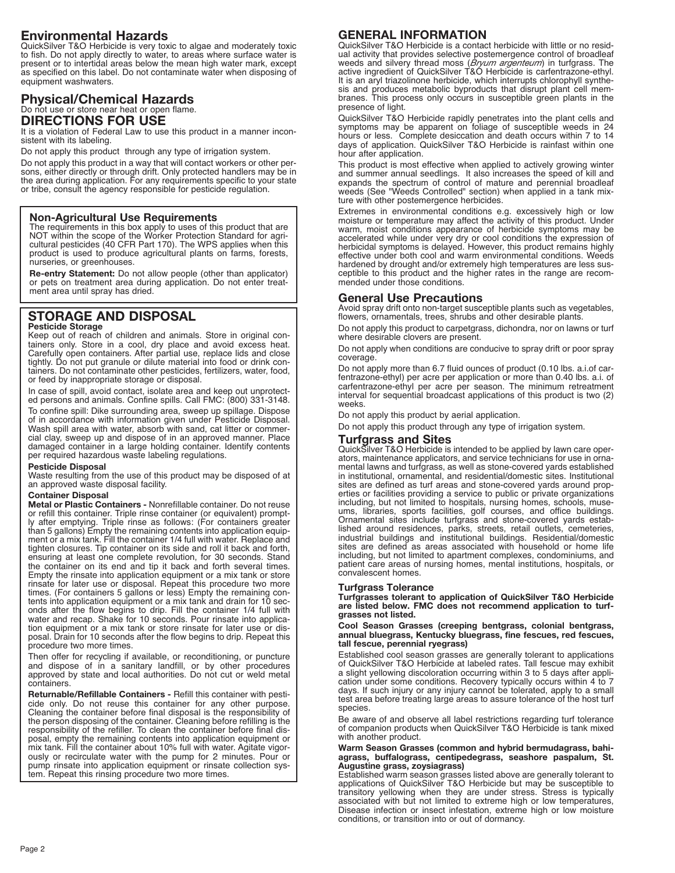# **Environmental Hazards**

QuickSilver T&O Herbicide is very toxic to algae and moderately toxic to fish. Do not apply directly to water, to areas where surface water is present or to intertidal areas below the mean high water mark, except as specified on this label. Do not contaminate water when disposing of equipment washwaters.

## **Physical/Chemical Hazards** Do not use or store near heat or open flame. **DIRECTIONS FOR USE**

It is a violation of Federal Law to use this product in a manner inconsistent with its labeling.

Do not apply this product through any type of irrigation system.

Do not apply this product in a way that will contact workers or other persons, either directly or through drift. Only protected handlers may be in the area during application. For any requirements specific to your state or tribe, consult the agency responsible for pesticide regulation.

### **Non-Agricultural Use Requirements**

The requirements in this box apply to uses of this product that are<br>NOT within the scope of the Worker Protection Standard for agri-NOT within the scope of the Worker Protection Standard for agri- cultural pesticides (40 CFR Part 170). The WPS applies when this product is used to produce agricultural plants on farms, forests, nurseries, or greenhouses.

**Re-entry Statement:** Do not allow people (other than applicator) or pets on treatment area during application. Do not enter treatment area until spray has dried.

# **STORAGE AND DISPOSAL**

#### **Pesticide Storage**

Keep out of reach of children and animals. Store in original containers only. Store in a cool, dry place and avoid excess heat. Carefully open containers. After partial use, replace lids and close tightly. Do not put granule or dilute material into food or drink containers. Do not contaminate other pesticides, fertilizers, water, food, or feed by inappropriate storage or disposal.

In case of spill, avoid contact, isolate area and keep out unprotected persons and animals. Confine spills. Call FMC: (800) 331-3148.

To confine spill: Dike surrounding area, sweep up spillage. Dispose of in accordance with information given under Pesticide Disposal. Wash spill area with water, absorb with sand, cat litter or commercial clay, sweep up and dispose of in an approved manner. Place damaged container in a large holding container. Identify contents per required hazardous waste labeling regulations.

#### **Pesticide Disposal**

Waste resulting from the use of this product may be disposed of at an approved waste disposal facility.

### **Container Disposal**

**Metal or Plastic Containers -** Nonrefillable container. Do not reuse or refill this container. Triple rinse container (or equivalent) promptly after emptying. Triple rinse as follows: (For containers greater than 5 gallons) Empty the remaining contents into application equipment or a mix tank. Fill the container 1/4 full with water. Replace and tighten closures. Tip container on its side and roll it back and forth, ensuring at least one complete revolution, for 30 seconds. Stand the container on its end and tip it back and forth several times. Empty the rinsate into application equipment or a mix tank or store rinsate for later use or disposal. Repeat this procedure two more times. (For containers 5 gallons or less) Empty the remaining contents into application equipment or a mix tank and drain for 10 seconds after the flow begins to drip. Fill the container 1/4 full with water and recap. Shake for 10 seconds. Pour rinsate into application equipment or a mix tank or store rinsate for later use or disposal. Drain for 10 seconds after the flow begins to drip. Repeat this procedure two more times.

Then offer for recycling if available, or reconditioning, or puncture and dispose of in a sanitary landfill, or by other procedures approved by state and local authorities. Do not cut or weld metal containers.

**Returnable/Refillable Containers -** Refill this container with pesticide only. Do not reuse this container for any other purpose. Cleaning the container before final disposal is the responsibility of the person disposing of the container. Cleaning before refilling is the responsibility of the refiller. To clean the container before final disposal, empty the remaining contents into application equipment or mix tank. Fill the container about 10% full with water. Agitate vigorously or recirculate water with the pump for 2 minutes. Pour or pump rinsate into application equipment or rinsate collection system. Repeat this rinsing procedure two more times.

# **GENERAL INFORMATION**

QuickSilver T&O Herbicide is a contact herbicide with little or no residual activity that provides selective postemergence control of broadleaf weeds and silvery thread moss (*Bryum argenteum*) in turfgrass. The active ingredient of QuickSilver T&O Herbicide is carfentrazone-ethyl. It is an aryl triazolinone herbicide, which interrupts chlorophyll synthesis and produces metabolic byproducts that disrupt plant cell membranes. This process only occurs in susceptible green plants in the presence of light.

QuickSilver T&O Herbicide rapidly penetrates into the plant cells and symptoms may be apparent on foliage of susceptible weeds in 24 hours or less. Complete desiccation and death occurs within 7 to 14 days of application. QuickSilver T&O Herbicide is rainfast within one hour after application.

This product is most effective when applied to actively growing winter and summer annual seedlings. It also increases the speed of kill and expands the spectrum of control of mature and perennial broadleaf weeds (See "Weeds Controlled" section) when applied in a tank mixture with other postemergence herbicides.

Extremes in environmental conditions e.g. excessively high or low moisture or temperature may affect the activity of this product. Under warm, moist conditions appearance of herbicide symptoms may be accelerated while under very dry or cool conditions the expression of herbicidal symptoms is delayed. However, this product remains highly effective under both cool and warm environmental conditions. Weeds hardened by drought and/or extremely high temperatures are less susceptible to this product and the higher rates in the range are recommended under those conditions.

## **General Use Precautions**

Avoid spray drift onto non-target susceptible plants such as vegetables, flowers, ornamentals, trees, shrubs and other desirable plants.

Do not apply this product to carpetgrass, dichondra, nor on lawns or turf where desirable clovers are present.

Do not apply when conditions are conducive to spray drift or poor spray coverage.

Do not apply more than 6.7 fluid ounces of product (0.10 lbs. a.i.of carfentrazone-ethyl) per acre per application or more than 0.40 lbs. a.i. of carfentrazone-ethyl per acre per season. The minimum retreatment interval for sequential broadcast applications of this product is two (2) weeks.

Do not apply this product by aerial application.

Do not apply this product through any type of irrigation system.

### **Turfgrass and Sites**

QuickSilver T&O Herbicide is intended to be applied by lawn care operators, maintenance applicators, and service technicians for use in ornamental lawns and turfgrass, as well as stone-covered yards established in institutional, ornamental, and residential/domestic sites. Institutional sites are defined as turf areas and stone-covered yards around properties or facilities providing a service to public or private organizations including, but not limited to hospitals, nursing homes, schools, museums, libraries, sports facilities, golf courses, and office buildings. Ornamental sites include turfgrass and stone-covered yards established around residences, parks, streets, retail outlets, cemeteries, industrial buildings and institutional buildings. Residential/domestic sites are defined as areas associated with household or home life including, but not limited to apartment complexes, condominiums, and patient care areas of nursing homes, mental institutions, hospitals, or convalescent homes.

#### **Turfgrass Tolerance**

**Turfgrasses tolerant to application of QuickSilver T&O Herbicide are listed below. FMC does not recommend application to turfgrasses not listed.**

**Cool Season Grasses (creeping bentgrass, colonial bentgrass, annual bluegrass, Kentucky bluegrass, fine fescues, red fescues, tall fescue, perennial ryegrass)**

Established cool season grasses are generally tolerant to applications of QuickSilver T&O Herbicide at labeled rates. Tall fescue may exhibit a slight yellowing discoloration occurring within 3 to 5 days after application under some conditions. Recovery typically occurs within 4 to 7 days. If such injury or any injury cannot be tolerated, apply to a small test area before treating large areas to assure tolerance of the host turf species.

Be aware of and observe all label restrictions regarding turf tolerance of companion products when QuickSilver T&O Herbicide is tank mixed with another product.

#### **Warm Season Grasses (common and hybrid bermudagrass, bahiagrass, buffalograss, centipedegrass, seashore paspalum, St. Augustine grass, zoysiagrass)**

Established warm season grasses listed above are generally tolerant to applications of QuickSilver T&O Herbicide but may be susceptible to transitory yellowing when they are under stress. Stress is typically associated with but not limited to extreme high or low temperatures, Disease infection or insect infestation, extreme high or low moisture conditions, or transition into or out of dormancy.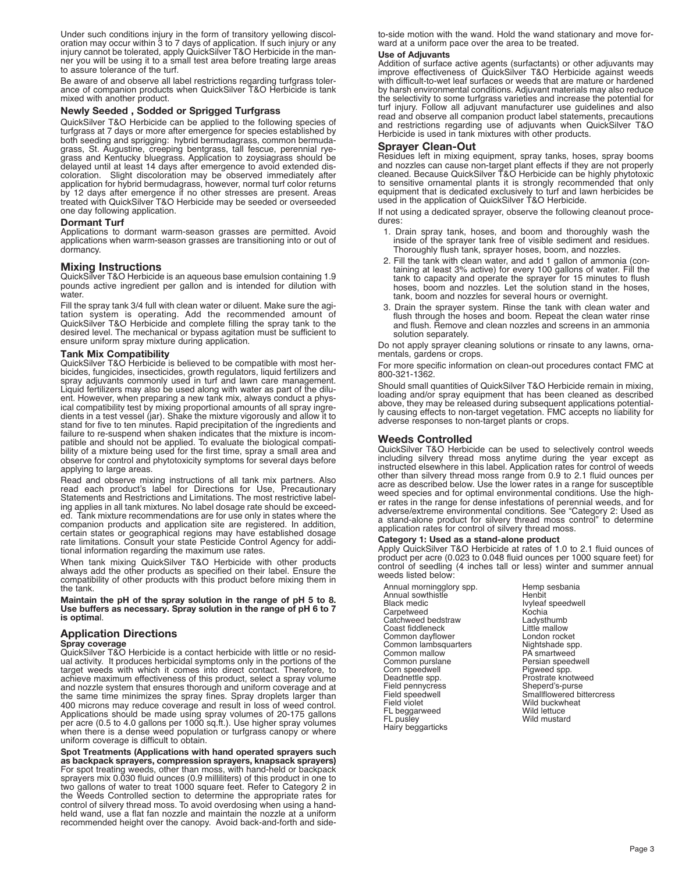Under such conditions injury in the form of transitory yellowing discoloration may occur within 3 to 7 days of application. If such injury or any injury cannot be tolerated, apply QuickSilver T&O Herbicide in the manner you will be using it to a small test area before treating large areas to assure tolerance of the turf.

Be aware of and observe all label restrictions regarding turfgrass tolerance of companion products when QuickSilver T&O Herbicide is tank mixed with another product.

**Newly Seeded , Sodded or Sprigged Turfgrass** QuickSilver T&O Herbicide can be applied to the following species of turfgrass at 7 days or more after emergence for species established by both seeding and sprigging: hybrid bermudagrass, common bermudagrass, St. Augustine, creeping bentgrass, tall fescue, perennial ryegrass and Kentucky bluegrass. Application to zoysiagrass should be delayed until at least 14 days after emergence to avoid extended discoloration. Slight discoloration may be observed immediately after application for hybrid bermudagrass, however, normal turf color returns by 12 days after emergence if no other stresses are present. Areas treated with QuickSilver T&O Herbicide may be seeded or overseeded one day following application.

#### **Dormant Turf**

Applications to dormant warm-season grasses are permitted. Avoid applications when warm-season grasses are transitioning into or out of dormancy.

#### **Mixing Instructions**

QuickSilver T&O Herbicide is an aqueous base emulsion containing 1.9 pounds active ingredient per gallon and is intended for dilution with water.

Fill the spray tank 3/4 full with clean water or diluent. Make sure the agi-tation system is operating. Add the recommended amount of QuickSilver T&O Herbicide and complete filling the spray tank to the desired level. The mechanical or bypass agitation must be sufficient to ensure uniform spray mixture during application.

#### **Tank Mix Compatibility**

QuickSilver T&O Herbicide is believed to be compatible with most herbicides, fungicides, insecticides, growth regulators, liquid fertilizers and spray adjuvants commonly used in turf and lawn care management. Liquid fertilizers may also be used along with water as part of the diluent. However, when preparing a new tank mix, always conduct a physical compatibility test by mixing proportional amounts of all spray ingredients in a test vessel (jar). Shake the mixture vigorously and allow it to stand for five to ten minutes. Rapid precipitation of the ingredients and failure to re-suspend when shaken indicates that the mixture is incompatible and should not be applied. To evaluate the biological compatibility of a mixture being used for the first time, spray a small area and observe for control and phytotoxicity symptoms for several days before applying to large areas.

Read and observe mixing instructions of all tank mix partners. Also read each product's label for Directions for Use, Precautionary Statements and Restrictions and Limitations. The most restrictive labeling applies in all tank mixtures. No label dosage rate should be exceeded. Tank mixture recommendations are for use only in states where the companion products and application site are registered. In addition, certain states or geographical regions may have established dosage rate limitations. Consult your state Pesticide Control Agency for additional information regarding the maximum use rates.

When tank mixing QuickSilver T&O Herbicide with other products always add the other products as specified on their label. Ensure the compatibility of other products with this product before mixing them in the tank.

**Maintain the pH of the spray solution in the range of pH 5 to 8. Use buffers as necessary. Spray solution in the range of pH 6 to 7 is optima**l.

#### **Application Directions**

**Spray coverage**

QuickSilver T&O Herbicide is a contact herbicide with little or no residual activity. It produces herbicidal symptoms only in the portions of the target weeds with which it comes into direct contact. Therefore, to achieve maximum effectiveness of this product, select a spray volume and nozzle system that ensures thorough and uniform coverage and at the same time minimizes the spray fines. Spray droplets larger than 400 microns may reduce coverage and result in loss of weed control. Applications should be made using spray volumes of 20-175 gallons per acre (0.5 to 4.0 gallons per 1000 sq.ft.). Use higher spray volumes when there is a dense weed population or turfgrass canopy or where uniform coverage is difficult to obtain.

**Spot Treatments (Applications with hand operated sprayers such as backpack sprayers, compression sprayers, knapsack sprayers)** For spot treating weeds, other than moss, with hand-held or backpack sprayers mix 0.030 fluid ounces (0.9 milliliters) of this product in one to two gallons of water to treat 1000 square feet. Refer to Category 2 in the Weeds Controlled section to determine the appropriate rates for control of silvery thread moss. To avoid overdosing when using a handheld wand, use a flat fan nozzle and maintain the nozzle at a uniform recommended height over the canopy. Avoid back-and-forth and sideto-side motion with the wand. Hold the wand stationary and move forward at a uniform pace over the area to be treated.

#### **Use of Adjuvants**

Addition of surface active agents (surfactants) or other adjuvants may improve effectiveness of QuickSilver T&O Herbicide against weeds with difficult-to-wet leaf surfaces or weeds that are mature or hardened by harsh environmental conditions. Adjuvant materials may also reduce the selectivity to some turfgrass varieties and increase the potential for turf injury. Follow all adjuvant manufacturer use guidelines and also read and observe all companion product label statements, precautions and restrictions regarding use of adjuvants when QuickSilver T&O Herbicide is used in tank mixtures with other products.

#### **Sprayer Clean-Out**

Residues left in mixing equipment, spray tanks, hoses, spray booms and nozzles can cause non-target plant effects if they are not properly cleaned. Because QuickSilver T&O Herbicide can be highly phytotoxic to sensitive ornamental plants it is strongly recommended that only equipment that is dedicated exclusively to turf and lawn herbicides be used in the application of QuickSilver T&O Herbicide.

If not using a dedicated sprayer, observe the following cleanout procedures:

- 1. Drain spray tank, hoses, and boom and thoroughly wash the inside of the sprayer tank free of visible sediment and residues. Thoroughly flush tank, sprayer hoses, boom, and nozzles.
- 2. Fill the tank with clean water, and add 1 gallon of ammonia (containing at least 3% active) for every 100 gallons of water. Fill the tank to capacity and operate the sprayer for 15 minutes to flush hoses, boom and nozzles. Let the solution stand in the hoses, tank, boom and nozzles for several hours or overnight.
- 3. Drain the sprayer system. Rinse the tank with clean water and flush through the hoses and boom. Repeat the clean water rinse and flush. Remove and clean nozzles and screens in an ammonia solution separately.

Do not apply sprayer cleaning solutions or rinsate to any lawns, ornamentals, gardens or crops.

For more specific information on clean-out procedures contact FMC at 800-321-1362.

Should small quantities of QuickSilver T&O Herbicide remain in mixing, loading and/or spray equipment that has been cleaned as described above, they may be released during subsequent applications potentially causing effects to non-target vegetation. FMC accepts no liability for adverse responses to non-target plants or crops.

#### **Weeds Controlled**

QuickSilver T&O Herbicide can be used to selectively control weeds including silvery thread moss anytime during the year except as instructed elsewhere in this label. Application rates for control of weeds other than silvery thread moss range from 0.9 to 2.1 fluid ounces per acre as described below. Use the lower rates in a range for susceptible weed species and for optimal environmental conditions. Use the higher rates in the range for dense infestations of perennial weeds, and for adverse/extreme environmental conditions. See "Category 2: Used as a stand-alone product for silvery thread moss control" to determine application rates for control of silvery thread moss.

#### **Category 1: Used as a stand-alone product**

Apply QuickSilver T&O Herbicide at rates of 1.0 to 2.1 fluid ounces of product per acre (0.023 to 0.048 fluid ounces per 1000 square feet) for control of seedling (4 inches tall or less) winter and summer annual weeds listed below:

Annual morningglory spp.<br>Annual sowthistle<br>Black medic<br>Carpetweed Catchweed bedstraw Coast fiddleneck Common lambsquarters<br>Common mallow<br>Common purslane<br>Corn speedwell<br>Deadnettle spp. Field pennycress Field speedwell<br>Field violet FL beggarweed FL pusley Hairy beggarticks

Hemp sesbania<br>Henbit Ivyleaf speedwell<br>Kochia Ladysthumb<br>Little mallow London rocket Nightshade spp. PA smartweed Persian speedwell<br>Piqweed spp. Prostrate knotweed<br>Sheperd's-purse Sheperd's-purse Smallflowered bittercress Wild buckwheat Wild lettuce Wild mustard